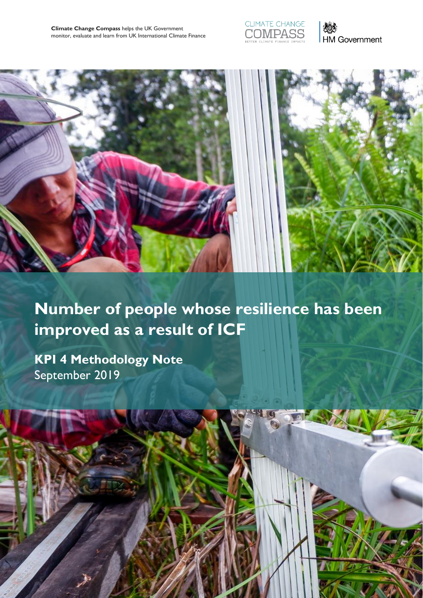





# **Number of people whose resilience has been improved as a result of ICF**

Join the conversation at **[climatechangecompass.org](http://www.climatechangecompass.org/)** 1

**KPI 4 Methodology Note** September 2019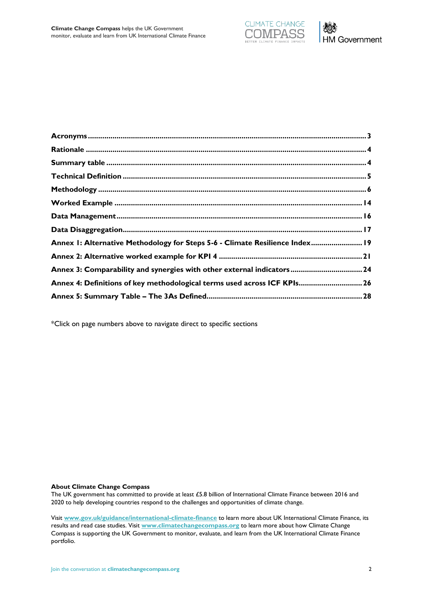

| Annex I: Alternative Methodology for Steps 5-6 - Climate Resilience Index 19<br>Annex 3: Comparability and synergies with other external indicators 24<br>Annex 4: Definitions of key methodological terms used across ICF KPIs 26 |
|------------------------------------------------------------------------------------------------------------------------------------------------------------------------------------------------------------------------------------|
|                                                                                                                                                                                                                                    |
|                                                                                                                                                                                                                                    |
|                                                                                                                                                                                                                                    |
|                                                                                                                                                                                                                                    |
|                                                                                                                                                                                                                                    |
|                                                                                                                                                                                                                                    |
|                                                                                                                                                                                                                                    |
|                                                                                                                                                                                                                                    |
|                                                                                                                                                                                                                                    |
|                                                                                                                                                                                                                                    |
|                                                                                                                                                                                                                                    |
|                                                                                                                                                                                                                                    |

\*Click on page numbers above to navigate direct to specific sections

**About Climate Change Compass**

The UK government has committed to provide at least £5.8 billion of International Climate Finance between 2016 and 2020 to help developing countries respond to the challenges and opportunities of climate change.

Visit **[www.gov.uk/guidance/international-climate-finance](https://www.gov.uk/guidance/international-climate-finance)** to learn more about UK International Climate Finance, its results and read case studies. Visit **[www.climatechangecompass.org](http://www.climatechangecompass.org/)** to learn more about how Climate Change Compass is supporting the UK Government to monitor, evaluate, and learn from the UK International Climate Finance portfolio.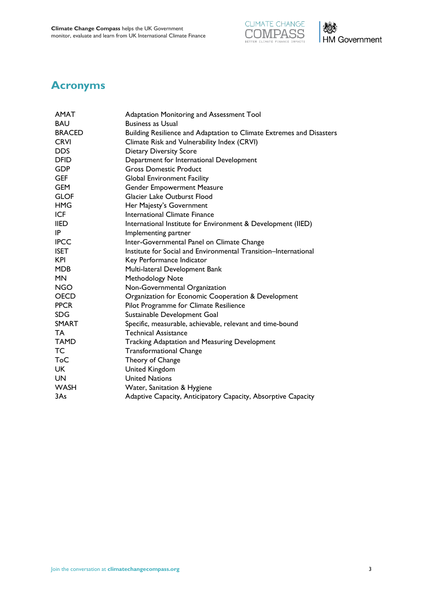



### <span id="page-2-0"></span>**Acronyms**

| <b>AMAT</b>   | Adaptation Monitoring and Assessment Tool                            |  |  |  |
|---------------|----------------------------------------------------------------------|--|--|--|
| <b>BAU</b>    | <b>Business as Usual</b>                                             |  |  |  |
| <b>BRACED</b> | Building Resilience and Adaptation to Climate Extremes and Disasters |  |  |  |
| <b>CRVI</b>   | Climate Risk and Vulnerability Index (CRVI)                          |  |  |  |
| <b>DDS</b>    | <b>Dietary Diversity Score</b>                                       |  |  |  |
| <b>DFID</b>   | Department for International Development                             |  |  |  |
| <b>GDP</b>    | <b>Gross Domestic Product</b>                                        |  |  |  |
| <b>GEF</b>    | <b>Global Environment Facility</b>                                   |  |  |  |
| <b>GEM</b>    | <b>Gender Empowerment Measure</b>                                    |  |  |  |
| <b>GLOF</b>   | Glacier Lake Outburst Flood                                          |  |  |  |
| <b>HMG</b>    | Her Majesty's Government                                             |  |  |  |
| <b>ICF</b>    | <b>International Climate Finance</b>                                 |  |  |  |
| <b>IIED</b>   | International Institute for Environment & Development (IIED)         |  |  |  |
| IP            | Implementing partner                                                 |  |  |  |
| <b>IPCC</b>   | Inter-Governmental Panel on Climate Change                           |  |  |  |
| <b>ISET</b>   | Institute for Social and Environmental Transition-International      |  |  |  |
| <b>KPI</b>    | Key Performance Indicator                                            |  |  |  |
| <b>MDB</b>    | Multi-lateral Development Bank                                       |  |  |  |
| <b>MN</b>     | Methodology Note                                                     |  |  |  |
| <b>NGO</b>    | Non-Governmental Organization                                        |  |  |  |
| <b>OECD</b>   | Organization for Economic Cooperation & Development                  |  |  |  |
| <b>PPCR</b>   | Pilot Programme for Climate Resilience                               |  |  |  |
| <b>SDG</b>    | Sustainable Development Goal                                         |  |  |  |
| <b>SMART</b>  | Specific, measurable, achievable, relevant and time-bound            |  |  |  |
| TA            | <b>Technical Assistance</b>                                          |  |  |  |
| <b>TAMD</b>   | <b>Tracking Adaptation and Measuring Development</b>                 |  |  |  |
| <b>TC</b>     | <b>Transformational Change</b>                                       |  |  |  |
| ToC           | Theory of Change                                                     |  |  |  |
| <b>UK</b>     | <b>United Kingdom</b>                                                |  |  |  |
| UN            | <b>United Nations</b>                                                |  |  |  |
| <b>WASH</b>   | Water, Sanitation & Hygiene                                          |  |  |  |
| 3As           | Adaptive Capacity, Anticipatory Capacity, Absorptive Capacity        |  |  |  |
|               |                                                                      |  |  |  |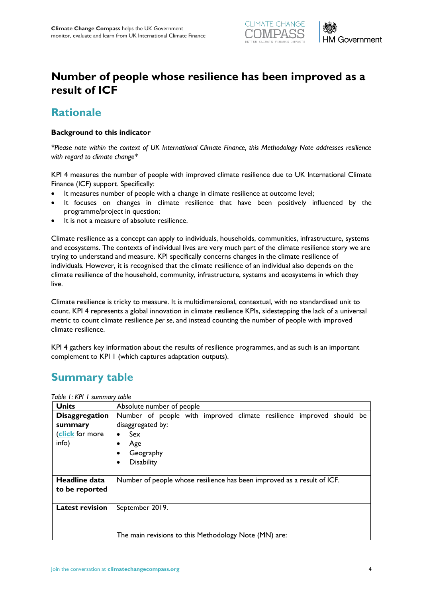

## **Number of people whose resilience has been improved as a result of ICF**

### <span id="page-3-0"></span>**Rationale**

### **Background to this indicator**

*\*Please note within the context of UK International Climate Finance, this Methodology Note addresses resilience with regard to climate change\**

KPI 4 measures the number of people with improved climate resilience due to UK International Climate Finance (ICF) support. Specifically:

- It measures number of people with a change in climate resilience at outcome level;
- It focuses on changes in climate resilience that have been positively influenced by the programme/project in question;
- It is not a measure of absolute resilience.

Climate resilience as a concept can apply to individuals, households, communities, infrastructure, systems and ecosystems. The contexts of individual lives are very much part of the climate resilience story we are trying to understand and measure. KPI specifically concerns changes in the climate resilience of individuals*.* However, it is recognised that the climate resilience of an individual also depends on the climate resilience of the household, community, infrastructure, systems and ecosystems in which they live.

Climate resilience is tricky to measure. It is multidimensional, contextual, with no standardised unit to count. KPI 4 represents a global innovation in climate resilience KPIs, sidestepping the lack of a universal metric to count climate resilience *per se*, and instead counting the number of people with improved climate resilience.

KPI 4 gathers key information about the results of resilience programmes, and as such is an important complement to KPI 1 (which captures adaptation outputs).

### <span id="page-3-1"></span>**Summary table**

| <b>Units</b>                                                 | Absolute number of people                                                                                                                                                                    |  |  |  |  |
|--------------------------------------------------------------|----------------------------------------------------------------------------------------------------------------------------------------------------------------------------------------------|--|--|--|--|
| <b>Disaggregation</b><br>summary<br>(click for more<br>info) | Number of people with improved climate resilience improved should be<br>disaggregated by:<br><b>Sex</b><br>$\bullet$<br>Age<br>$\bullet$<br>Geography<br>$\bullet$<br><b>Disability</b><br>٠ |  |  |  |  |
| Headline data<br>to be reported                              | Number of people whose resilience has been improved as a result of ICF.                                                                                                                      |  |  |  |  |
| <b>Latest revision</b>                                       | September 2019.<br>The main revisions to this Methodology Note (MN) are:                                                                                                                     |  |  |  |  |

*Table 1: KPI 1 summary table*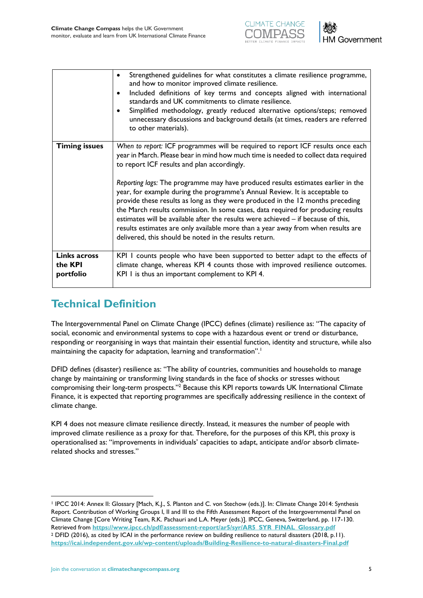



|                                                    | Strengthened guidelines for what constitutes a climate resilience programme,<br>٠<br>and how to monitor improved climate resilience.<br>Included definitions of key terms and concepts aligned with international<br>$\bullet$<br>standards and UK commitments to climate resilience.<br>Simplified methodology, greatly reduced alternative options/steps; removed<br>$\bullet$<br>unnecessary discussions and background details (at times, readers are referred<br>to other materials).                                                                                                                                                                                                                                                                                                        |
|----------------------------------------------------|---------------------------------------------------------------------------------------------------------------------------------------------------------------------------------------------------------------------------------------------------------------------------------------------------------------------------------------------------------------------------------------------------------------------------------------------------------------------------------------------------------------------------------------------------------------------------------------------------------------------------------------------------------------------------------------------------------------------------------------------------------------------------------------------------|
| <b>Timing issues</b>                               | When to report: ICF programmes will be required to report ICF results once each<br>year in March. Please bear in mind how much time is needed to collect data required<br>to report ICF results and plan accordingly.<br>Reporting lags: The programme may have produced results estimates earlier in the<br>year, for example during the programme's Annual Review. It is acceptable to<br>provide these results as long as they were produced in the 12 months preceding<br>the March results commission. In some cases, data required for producing results<br>estimates will be available after the results were achieved – if because of this,<br>results estimates are only available more than a year away from when results are<br>delivered, this should be noted in the results return. |
| <b>Links across</b><br>the <b>KPI</b><br>portfolio | KPI I counts people who have been supported to better adapt to the effects of<br>climate change, whereas KPI 4 counts those with improved resilience outcomes.<br>KPI I is thus an important complement to KPI 4.                                                                                                                                                                                                                                                                                                                                                                                                                                                                                                                                                                                 |

# <span id="page-4-0"></span>**Technical Definition**

The Intergovernmental Panel on Climate Change (IPCC) defines (climate) resilience as: "The capacity of social, economic and environmental systems to cope with a hazardous event or trend or disturbance, responding or reorganising in ways that maintain their essential function, identity and structure, while also maintaining the capacity for adaptation, learning and transformation".<sup>1</sup>

DFID defines (disaster) resilience as: "The ability of countries, communities and households to manage change by maintaining or transforming living standards in the face of shocks or stresses without compromising their long-term prospects."<sup>2</sup> Because this KPI reports towards UK International Climate Finance, it is expected that reporting programmes are specifically addressing resilience in the context of climate change.

KPI 4 does not measure climate resilience directly. Instead, it measures the number of people with improved climate resilience as a proxy for that. Therefore, for the purposes of this KPI, this proxy is operationalised as: "improvements in individuals' capacities to adapt, anticipate and/or absorb climaterelated shocks and stresses."

<sup>1</sup> IPCC 2014: Annex II: Glossary [Mach, K.J., S. Planton and C. von Stechow (eds.)]. In: Climate Change 2014: Synthesis Report. Contribution of Working Groups I, II and III to the Fifth Assessment Report of the Intergovernmental Panel on Climate Change [Core Writing Team, R.K. Pachauri and L.A. Meyer (eds.)]. IPCC, Geneva, Switzerland, pp. 117-130. Retrieved from **[https://www.ipcc.ch/pdf/assessment-report/ar5/syr/AR5\\_SYR\\_FINAL\\_Glossary.pdf](https://www.ipcc.ch/pdf/assessment-report/ar5/syr/AR5_SYR_FINAL_Glossary.pdf)** <sup>2</sup> DFID (2016), as cited by ICAI in the performance review on building resilience to natural disasters (2018, p.11). **<https://icai.independent.gov.uk/wp-content/uploads/Building-Resilience-to-natural-disasters-Final.pdf>**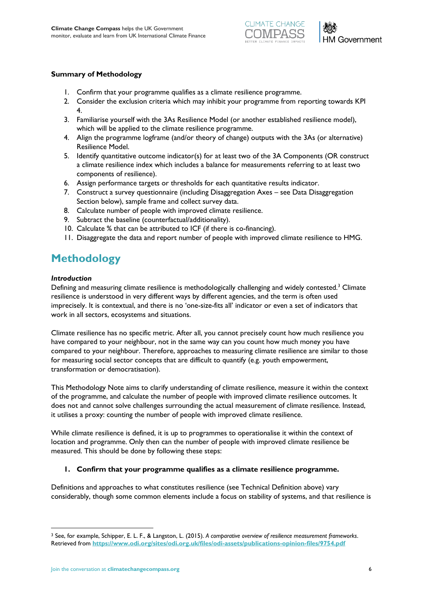



### **Summary of Methodology**

- 1. Confirm that your programme qualifies as a climate resilience programme.
- 2. Consider the exclusion criteria which may inhibit your programme from reporting towards KPI 4.
- 3. Familiarise yourself with the 3As Resilience Model (or another established resilience model), which will be applied to the climate resilience programme.
- 4. Align the programme logframe (and/or theory of change) outputs with the 3As (or alternative) Resilience Model.
- 5. Identify quantitative outcome indicator(s) for at least two of the 3A Components (OR construct a climate resilience index which includes a balance for measurements referring to at least two components of resilience).
- 6. Assign performance targets or thresholds for each quantitative results indicator.
- 7. Construct a survey questionnaire (including Disaggregation Axes see Data Disaggregation Section below), sample frame and collect survey data.
- 8. Calculate number of people with improved climate resilience.
- 9. Subtract the baseline (counterfactual/additionality).
- 10. Calculate % that can be attributed to ICF (if there is co-financing).
- 11. Disaggregate the data and report number of people with improved climate resilience to HMG.

## <span id="page-5-0"></span>**Methodology**

### *Introduction*

 $\overline{a}$ 

Defining and measuring climate resilience is methodologically challenging and widely contested.<sup>3</sup> Climate resilience is understood in very different ways by different agencies, and the term is often used imprecisely. It is contextual, and there is no 'one-size-fits all' indicator or even a set of indicators that work in all sectors, ecosystems and situations.

Climate resilience has no specific metric. After all, you cannot precisely count how much resilience you have compared to your neighbour, not in the same way can you count how much money you have compared to your neighbour. Therefore, approaches to measuring climate resilience are similar to those for measuring social sector concepts that are difficult to quantify (e.g. youth empowerment, transformation or democratisation).

This Methodology Note aims to clarify understanding of climate resilience, measure it within the context of the programme, and calculate the number of people with improved climate resilience outcomes. It does not and cannot solve challenges surrounding the actual measurement of climate resilience. Instead, it utilises a proxy: counting the number of people with improved climate resilience.

While climate resilience is defined, it is up to programmes to operationalise it within the context of location and programme. Only then can the number of people with improved climate resilience be measured. This should be done by following these steps:

### **1. Confirm that your programme qualifies as a climate resilience programme.**

Definitions and approaches to what constitutes resilience (see Technical Definition above) vary considerably, though some common elements include a focus on stability of systems, and that resilience is

<sup>3</sup> See, for example, Schipper, E. L. F., & Langston, L. (2015). *A comparative overview of resilience measurement frameworks*. Retrieved from **<https://www.odi.org/sites/odi.org.uk/files/odi-assets/publications-opinion-files/9754.pdf>**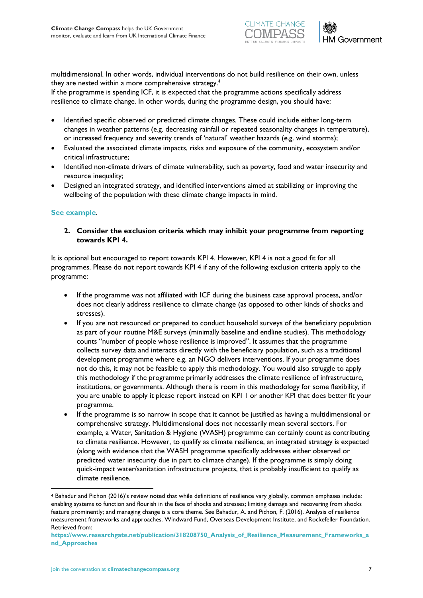



multidimensional. In other words, individual interventions do not build resilience on their own, unless they are nested within a more comprehensive strategy.<sup>4</sup>

If the programme is spending ICF, it is expected that the programme actions specifically address resilience to climate change*.* In other words, during the programme design, you should have:

- Identified specific observed or predicted climate changes. These could include either long-term changes in weather patterns (e.g. decreasing rainfall or repeated seasonality changes in temperature), or increased frequency and severity trends of 'natural' weather hazards (e.g. wind storms);
- Evaluated the associated climate impacts, risks and exposure of the community, ecosystem and/or critical infrastructure;
- Identified non-climate drivers of climate vulnerability, such as poverty, food and water insecurity and resource inequality;
- Designed an integrated strategy, and identified interventions aimed at stabilizing or improving the wellbeing of the population with these climate change impacts in mind.

### **[See example](#page-13-1)**.

 $\overline{a}$ 

**2. Consider the exclusion criteria which may inhibit your programme from reporting towards KPI 4.**

It is optional but encouraged to report towards KPI 4. However, KPI 4 is not a good fit for all programmes. Please do not report towards KPI 4 if any of the following exclusion criteria apply to the programme:

- If the programme was not affiliated with ICF during the business case approval process, and/or does not clearly address resilience to climate change (as opposed to other kinds of shocks and stresses).
- If you are not resourced or prepared to conduct household surveys of the beneficiary population as part of your routine M&E surveys (minimally baseline and endline studies). This methodology counts "number of people whose resilience is improved". It assumes that the programme collects survey data and interacts directly with the beneficiary population, such as a traditional development programme where e.g. an NGO delivers interventions. If your programme does not do this, it may not be feasible to apply this methodology. You would also struggle to apply this methodology if the programme primarily addresses the climate resilience of infrastructure, institutions, or governments. Although there is room in this methodology for some flexibility, if you are unable to apply it please report instead on KPI 1 or another KPI that does better fit your programme.
- If the programme is so narrow in scope that it cannot be justified as having a multidimensional or comprehensive strategy. Multidimensional does not necessarily mean several sectors. For example, a Water, Sanitation & Hygiene (WASH) programme can certainly count as contributing to climate resilience. However, to qualify as climate resilience, an integrated strategy is expected (along with evidence that the WASH programme specifically addresses either observed or predicted water insecurity due in part to climate change). If the programme is simply doing quick-impact water/sanitation infrastructure projects, that is probably insufficient to qualify as climate resilience.

<sup>4</sup> Bahadur and Pichon (2016)'s review noted that while definitions of resilience vary globally, common emphases include: enabling systems to function and flourish in the face of shocks and stresses; limiting damage and recovering from shocks feature prominently; and managing change is a core theme. See Bahadur, A. and Pichon, F. (2016). Analysis of resilience measurement frameworks and approaches. Windward Fund, Overseas Development Institute, and Rockefeller Foundation. Retrieved from:

**[https://www.researchgate.net/publication/318208750\\_Analysis\\_of\\_Resilience\\_Measurement\\_Frameworks\\_a](https://www.researchgate.net/publication/318208750_Analysis_of_Resilience_Measurement_Frameworks_and_Approaches) [nd\\_Approaches](https://www.researchgate.net/publication/318208750_Analysis_of_Resilience_Measurement_Frameworks_and_Approaches)**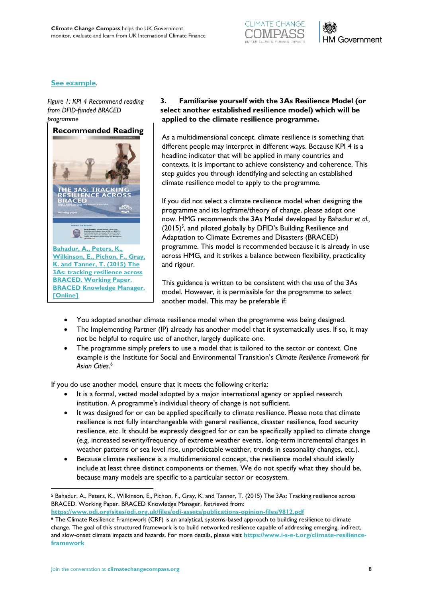

### **[See example](#page-13-2)**.

*Figure 1: KPI 4 Recommend reading from DFID-funded BRACED programme*



### **3. Familiarise yourself with the 3As Resilience Model (or select another established resilience model) which will be applied to the climate resilience programme.**

As a multidimensional concept, climate resilience is something that different people may interpret in different ways. Because KPI 4 is a headline indicator that will be applied in many countries and contexts, it is important to achieve consistency and coherence. This step guides you through identifying and selecting an established climate resilience model to apply to the programme.

If you did not select a climate resilience model when designing the programme and its logframe/theory of change, please adopt one now. HMG recommends the 3As Model developed by Bahadur *et al.,*  $(2015)^5$ , and piloted globally by DFID's Building Resilience and Adaptation to Climate Extremes and Disasters (BRACED) programme. This model is recommended because it is already in use across HMG, and it strikes a balance between flexibility, practicality and rigour.

This guidance is written to be consistent with the use of the 3As model. However, it is permissible for the programme to select another model. This may be preferable if:

- You adopted another climate resilience model when the programme was being designed.
- The Implementing Partner (IP) already has another model that it systematically uses. If so, it may not be helpful to require use of another, largely duplicate one.
- The programme simply prefers to use a model that is tailored to the sector or context. One example is the Institute for Social and Environmental Transition's *Climate Resilience Framework for Asian Cities*. 6

If you do use another model, ensure that it meets the following criteria:

- It is a formal, vetted model adopted by a major international agency or applied research institution. A programme's individual theory of change is not sufficient.
- It was designed for or can be applied specifically to climate resilience. Please note that climate resilience is not fully interchangeable with general resilience, disaster resilience, food security resilience, etc. It should be expressly designed for or can be specifically applied to climate change (e.g. increased severity/frequency of extreme weather events, long-term incremental changes in weather patterns or sea level rise, unpredictable weather, trends in seasonality changes, etc.).
- Because climate resilience is a multidimensional concept, the resilience model should ideally include at least three distinct components or themes. We do not specify what they should be, because many models are specific to a particular sector or ecosystem.

**<https://www.odi.org/sites/odi.org.uk/files/odi-assets/publications-opinion-files/9812.pdf>**

<sup>5</sup> Bahadur, A., Peters, K., Wilkinson, E., Pichon, F., Gray, K. and Tanner, T. (2015) The 3As: Tracking resilience across BRACED. Working Paper. BRACED Knowledge Manager. Retrieved from:

<sup>6</sup> The Climate Resilience Framework (CRF) is an analytical, systems-based approach to building resilience to climate change. The goal of this structured framework is to build networked resilience capable of addressing emerging, indirect, and slow-onset climate impacts and hazards. For more details, please visit **[https://www.i-s-e-t.org/climate-resilience](https://www.i-s-e-t.org/climate-resilience-framework)[framework](https://www.i-s-e-t.org/climate-resilience-framework)**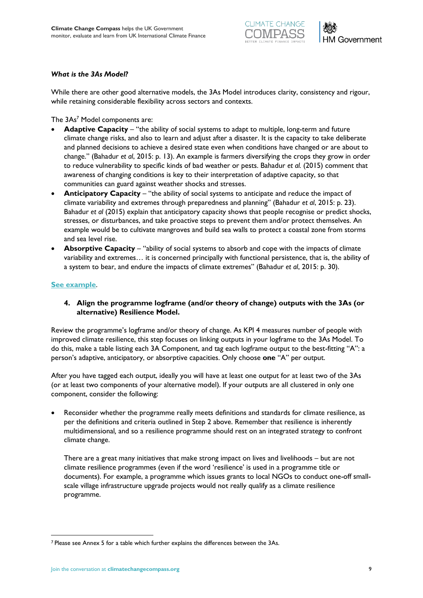



### *What is the 3As Model?*

While there are other good alternative models, the 3As Model introduces clarity, consistency and rigour, while retaining considerable flexibility across sectors and contexts.

The 3As<sup>7</sup> Model components are:

- **Adaptive Capacity** "the ability of social systems to adapt to multiple, long-term and future climate change risks, and also to learn and adjust after a disaster. It is the capacity to take deliberate and planned decisions to achieve a desired state even when conditions have changed or are about to change." (Bahadur *et al*, 2015: p. 13). An example is farmers diversifying the crops they grow in order to reduce vulnerability to specific kinds of bad weather or pests. Bahadur *et al.* (2015) comment that awareness of changing conditions is key to their interpretation of adaptive capacity, so that communities can guard against weather shocks and stresses.
- **Anticipatory Capacity** "the ability of social systems to anticipate and reduce the impact of climate variability and extremes through preparedness and planning" (Bahadur *et al*, 2015: p. 23). Bahadur *et al* (2015) explain that anticipatory capacity shows that people recognise or predict shocks, stresses, or disturbances, and take proactive steps to prevent them and/or protect themselves. An example would be to cultivate mangroves and build sea walls to protect a coastal zone from storms and sea level rise.
- **Absorptive Capacity** "ability of social systems to absorb and cope with the impacts of climate variability and extremes… it is concerned principally with functional persistence, that is, the ability of a system to bear, and endure the impacts of climate extremes" (Bahadur *et al*, 2015: p. 30).

### **[See example](#page-13-3)**.

**4. Align the programme logframe (and/or theory of change) outputs with the 3As (or alternative) Resilience Model.**

Review the programme's logframe and/or theory of change. As KPI 4 measures number of people with improved climate resilience, this step focuses on linking outputs in your logframe to the 3As Model. To do this, make a table listing each 3A Component, and tag each logframe output to the best-fitting "A": a person's adaptive, anticipatory, or absorptive capacities. Only choose **one** "A" per output.

After you have tagged each output, ideally you will have at least one output for at least two of the 3As (or at least two components of your alternative model). If your outputs are all clustered in only one component, consider the following:

• Reconsider whether the programme really meets definitions and standards for climate resilience, as per the definitions and criteria outlined in Step 2 above. Remember that resilience is inherently multidimensional*,* and so a resilience programme should rest on an integrated strategy to confront climate change.

There are a great many initiatives that make strong impact on lives and livelihoods – but are not climate resilience programmes (even if the word 'resilience' is used in a programme title or documents). For example, a programme which issues grants to local NGOs to conduct one-off smallscale village infrastructure upgrade projects would not really qualify as a climate resilience programme.

<sup>7</sup> Please see Annex 5 for a table which further explains the differences between the 3As.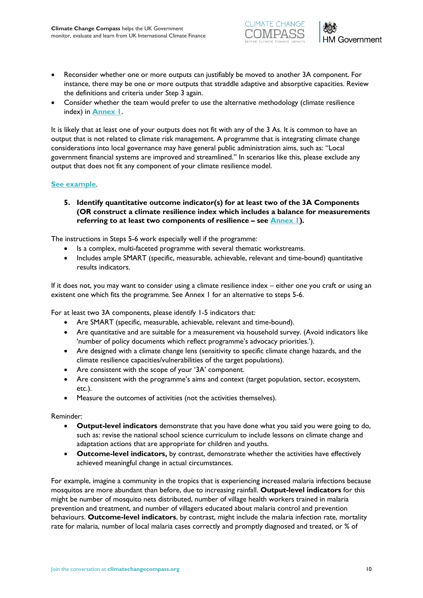



- Reconsider whether one or more outputs can justifiably be moved to another 3A component. For instance, there may be one or more outputs that straddle adaptive and absorptive capacities. Review the definitions and criteria under Step 3 again.
- Consider whether the team would prefer to use the alternative methodology (climate resilience index) in **[Annex 1](#page-18-0)**.

It is likely that at least one of your outputs does not fit with any of the 3 As. It is common to have an output that is not related to climate risk management. A programme that is integrating climate change considerations into local governance may have general public administration aims, such as: "Local government financial systems are improved and streamlined." In scenarios like this, please exclude any output that does not fit any component of your climate resilience model.

### **[See example](#page-13-4)**.

**5. Identify quantitative outcome indicator(s) for at least two of the 3A Components (OR construct a climate resilience index which includes a balance for measurements referring to at least two components of resilience – see [Annex 1\)](#page-18-0).**

The instructions in Steps 5-6 work especially well if the programme:

- Is a complex, multi-faceted programme with several thematic workstreams.
- Includes ample SMART (specific, measurable, achievable, relevant and time-bound) quantitative results indicators.

If it does not, you may want to consider using a climate resilience index – either one you craft or using an existent one which fits the programme*.* See Annex 1 for an alternative to steps 5-6.

For at least two 3A components, please identify 1-5 indicators that:

- Are SMART (specific, measurable, achievable, relevant and time-bound).
- Are quantitative and are suitable for a measurement via household survey. (Avoid indicators like 'number of policy documents which reflect programme's advocacy priorities.').
- Are designed with a climate change lens (sensitivity to specific climate change hazards, and the climate resilience capacities/vulnerabilities of the target populations).
- Are consistent with the scope of your '3A' component.
- Are consistent with the programme's aims and context (target population, sector, ecosystem, etc.).
- Measure the outcomes of activities (not the activities themselves).

### Reminder:

- **Output-level indicators** demonstrate that you have done what you said you were going to do, such as: revise the national school science curriculum to include lessons on climate change and adaptation actions that are appropriate for children and youths.
- **Outcome-level indicators,** by contrast, demonstrate whether the activities have effectively achieved meaningful change in actual circumstances.

For example, imagine a community in the tropics that is experiencing increased malaria infections because mosquitos are more abundant than before, due to increasing rainfall. **Output-level indicators** for this might be number of mosquito nets distributed, number of village health workers trained in malaria prevention and treatment, and number of villagers educated about malaria control and prevention behaviours. **Outcome-level indicators**, by contrast, might include the malaria infection rate, mortality rate for malaria, number of local malaria cases correctly and promptly diagnosed and treated, or % of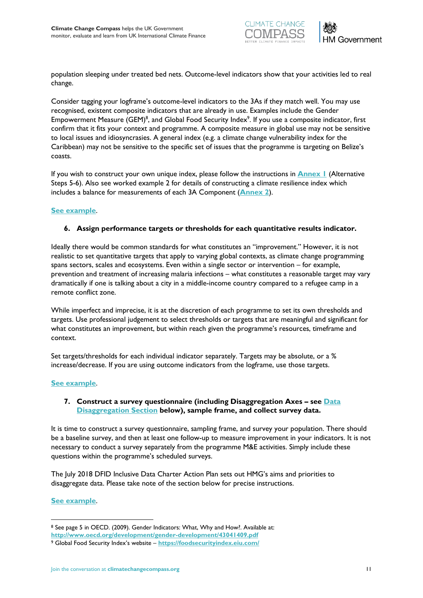



population sleeping under treated bed nets. Outcome-level indicators show that your activities led to real change.

Consider tagging your logframe's outcome-level indicators to the 3As if they match well. You may use recognised, existent composite indicators that are already in use. Examples include the Gender Empowerment Measure (GEM)<sup>8</sup>, and Global Food Security Index<sup>9</sup>. If you use a composite indicator, first confirm that it fits your context and programme. A composite measure in global use may not be sensitive to local issues and idiosyncrasies. A general index (e.g. a climate change vulnerability index for the Caribbean) may not be sensitive to the specific set of issues that the programme is targeting on Belize's coasts.

If you wish to construct your own unique index, please follow the instructions in **[Annex 1](#page-18-0)** (Alternative Steps 5-6). Also see worked example 2 for details of constructing a climate resilience index which includes a balance for measurements of each 3A Component (**[Annex 2](#page-20-0)**).

### **[See example](#page-14-0)**.

### **6. Assign performance targets or thresholds for each quantitative results indicator.**

Ideally there would be common standards for what constitutes an "improvement." However, it is not realistic to set quantitative targets that apply to varying global contexts, as climate change programming spans sectors, scales and ecosystems. Even within a single sector or intervention – for example, prevention and treatment of increasing malaria infections – what constitutes a reasonable target may vary dramatically if one is talking about a city in a middle-income country compared to a refugee camp in a remote conflict zone.

While imperfect and imprecise, it is at the discretion of each programme to set its own thresholds and targets. Use professional judgement to select thresholds or targets that are meaningful and significant for what constitutes an improvement, but within reach given the programme's resources, timeframe and context.

Set targets/thresholds for each individual indicator separately. Targets may be absolute, or a % increase/decrease. If you are using outcome indicators from the logframe, use those targets.

### **[See example](#page-14-1)**.

### **7. Construct a survey questionnaire (including Disaggregation Axes – see [Data](#page-16-0)  [Disaggregation Section](#page-16-0) below), sample frame, and collect survey data.**

It is time to construct a survey questionnaire, sampling frame, and survey your population. There should be a baseline survey, and then at least one follow-up to measure improvement in your indicators. It is not necessary to conduct a survey separately from the programme M&E activities. Simply include these questions within the programme's scheduled surveys.

The July 2018 DFID Inclusive Data Charter Action Plan sets out HMG's aims and priorities to disaggregate data. Please take note of the section below for precise instructions.

### **[See example](#page-14-2)**.

<sup>8</sup> See page 5 in OECD. (2009). Gender Indicators: What, Why and How?. Available at:

**<http://www.oecd.org/development/gender-development/43041409.pdf>**

<sup>9</sup> Global Food Security Index's website – **<https://foodsecurityindex.eiu.com/>**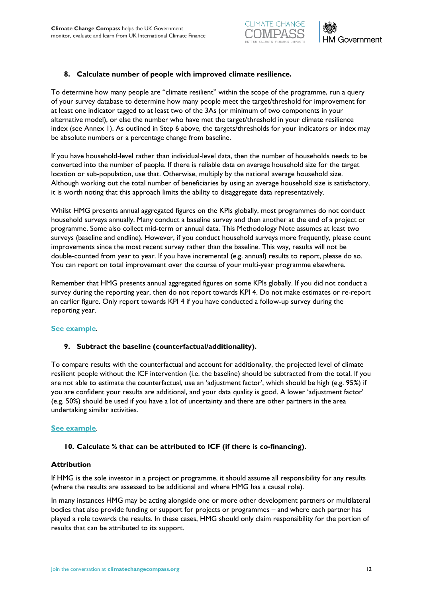



### **8. Calculate number of people with improved climate resilience.**

To determine how many people are "climate resilient" within the scope of the programme, run a query of your survey database to determine how many people meet the target/threshold for improvement for at least one indicator tagged to at least two of the 3As (or minimum of two components in your alternative model), or else the number who have met the target/threshold in your climate resilience index (see Annex 1). As outlined in Step 6 above, the targets/thresholds for your indicators or index may be absolute numbers or a percentage change from baseline.

If you have household-level rather than individual-level data, then the number of households needs to be converted into the number of people. If there is reliable data on average household size for the target location or sub-population, use that. Otherwise, multiply by the national average household size. Although working out the total number of beneficiaries by using an average household size is satisfactory, it is worth noting that this approach limits the ability to disaggregate data representatively.

Whilst HMG presents annual aggregated figures on the KPIs globally, most programmes do not conduct household surveys annually. Many conduct a baseline survey and then another at the end of a project or programme. Some also collect mid-term or annual data. This Methodology Note assumes at least two surveys (baseline and endline). However, if you conduct household surveys more frequently, please count improvements since the most recent survey rather than the baseline. This way, results will not be double-counted from year to year. If you have incremental (e.g. annual) results to report, please do so. You can report on total improvement over the course of your multi-year programme elsewhere.

Remember that HMG presents annual aggregated figures on some KPIs globally. If you did not conduct a survey during the reporting year, then do not report towards KPI 4. Do not make estimates or re-report an earlier figure. Only report towards KPI 4 if you have conducted a follow-up survey during the reporting year.

### **[See example](#page-14-2)**.

### **9. Subtract the baseline (counterfactual/additionality).**

To compare results with the counterfactual and account for additionality, the projected level of climate resilient people without the ICF intervention (i.e. the baseline) should be subtracted from the total. If you are not able to estimate the counterfactual, use an 'adjustment factor', which should be high (e.g. 95%) if you are confident your results are additional, and your data quality is good. A lower 'adjustment factor' (e.g. 50%) should be used if you have a lot of uncertainty and there are other partners in the area undertaking similar activities.

### **[See example](#page-15-1)**.

### **10. Calculate % that can be attributed to ICF (if there is co-financing).**

### **Attribution**

If HMG is the sole investor in a project or programme, it should assume all responsibility for any results (where the results are assessed to be additional and where HMG has a causal role).

In many instances HMG may be acting alongside one or more other development partners or multilateral bodies that also provide funding or support for projects or programmes – and where each partner has played a role towards the results. In these cases, HMG should only claim responsibility for the portion of results that can be attributed to its support.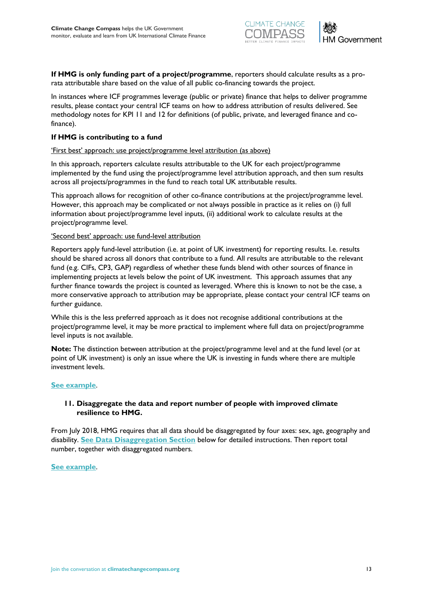



**If HMG is only funding part of a project/programme**, reporters should calculate results as a prorata attributable share based on the value of all public co-financing towards the project.

In instances where ICF programmes leverage (public or private) finance that helps to deliver programme results, please contact your central ICF teams on how to address attribution of results delivered. See methodology notes for KPI 11 and 12 for definitions (of public, private, and leveraged finance and cofinance).

### **If HMG is contributing to a fund**

### 'First best' approach: use project/programme level attribution (as above)

In this approach, reporters calculate results attributable to the UK for each project/programme implemented by the fund using the project/programme level attribution approach, and then sum results across all projects/programmes in the fund to reach total UK attributable results.

This approach allows for recognition of other co-finance contributions at the project/programme level. However, this approach may be complicated or not always possible in practice as it relies on (i) full information about project/programme level inputs, (ii) additional work to calculate results at the project/programme level.

#### 'Second best' approach: use fund-level attribution

Reporters apply fund-level attribution (i.e. at point of UK investment) for reporting results. I.e. results should be shared across all donors that contribute to a fund. All results are attributable to the relevant fund (e.g. CIFs, CP3, GAP) regardless of whether these funds blend with other sources of finance in implementing projects at levels below the point of UK investment. This approach assumes that any further finance towards the project is counted as leveraged. Where this is known to not be the case, a more conservative approach to attribution may be appropriate, please contact your central ICF teams on further guidance.

While this is the less preferred approach as it does not recognise additional contributions at the project/programme level, it may be more practical to implement where full data on project/programme level inputs is not available.

**Note:** The distinction between attribution at the project/programme level and at the fund level (or at point of UK investment) is only an issue where the UK is investing in funds where there are multiple investment levels.

### **[See example](#page-15-2)**.

### **11. Disaggregate the data and report number of people with improved climate resilience to HMG.**

From July 2018, HMG requires that all data should be disaggregated by four axes: sex, age, geography and disability. **[See Data Disaggregation Section](#page-16-0)** below for detailed instructions. Then report total number, together with disaggregated numbers.

#### **[See example](#page-15-3)**.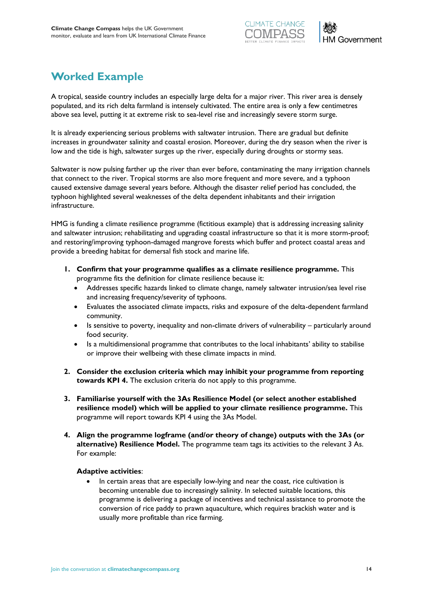

# <span id="page-13-0"></span>**Worked Example**

A tropical, seaside country includes an especially large delta for a major river. This river area is densely populated, and its rich delta farmland is intensely cultivated. The entire area is only a few centimetres above sea level, putting it at extreme risk to sea-level rise and increasingly severe storm surge.

It is already experiencing serious problems with saltwater intrusion. There are gradual but definite increases in groundwater salinity and coastal erosion. Moreover, during the dry season when the river is low and the tide is high, saltwater surges up the river, especially during droughts or stormy seas.

Saltwater is now pulsing farther up the river than ever before, contaminating the many irrigation channels that connect to the river. Tropical storms are also more frequent and more severe, and a typhoon caused extensive damage several years before. Although the disaster relief period has concluded, the typhoon highlighted several weaknesses of the delta dependent inhabitants and their irrigation infrastructure.

HMG is funding a climate resilience programme (fictitious example) that is addressing increasing salinity and saltwater intrusion; rehabilitating and upgrading coastal infrastructure so that it is more storm-proof; and restoring/improving typhoon-damaged mangrove forests which buffer and protect coastal areas and provide a breeding habitat for demersal fish stock and marine life.

- <span id="page-13-1"></span>**1. Confirm that your programme qualifies as a climate resilience programme.** This programme fits the definition for climate resilience because it:
	- Addresses specific hazards linked to climate change, namely saltwater intrusion/sea level rise and increasing frequency/severity of typhoons.
	- Evaluates the associated climate impacts, risks and exposure of the delta-dependent farmland community.
	- Is sensitive to poverty, inequality and non-climate drivers of vulnerability particularly around food security.
	- Is a multidimensional programme that contributes to the local inhabitants' ability to stabilise or improve their wellbeing with these climate impacts in mind.
- <span id="page-13-2"></span>**2. Consider the exclusion criteria which may inhibit your programme from reporting towards KPI 4.** The exclusion criteria do not apply to this programme.
- <span id="page-13-3"></span>**3. Familiarise yourself with the 3As Resilience Model (or select another established resilience model) which will be applied to your climate resilience programme.** This programme will report towards KPI 4 using the 3As Model.
- <span id="page-13-4"></span>**4. Align the programme logframe (and/or theory of change) outputs with the 3As (or alternative) Resilience Model.** The programme team tags its activities to the relevant 3 As. For example:

### **Adaptive activities**:

In certain areas that are especially low-lying and near the coast, rice cultivation is becoming untenable due to increasingly salinity. In selected suitable locations, this programme is delivering a package of incentives and technical assistance to promote the conversion of rice paddy to prawn aquaculture, which requires brackish water and is usually more profitable than rice farming.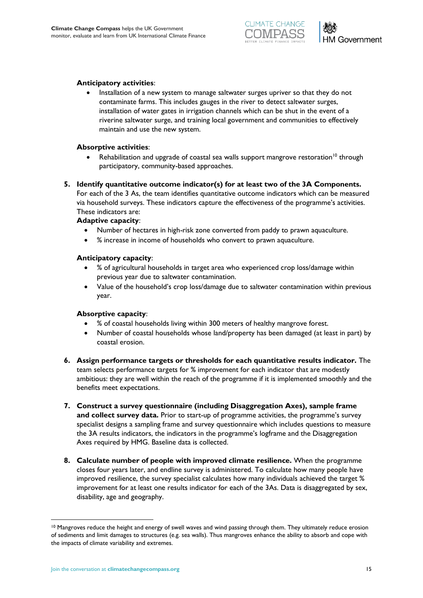



### **Anticipatory activities**:

• Installation of a new system to manage saltwater surges upriver so that they do not contaminate farms. This includes gauges in the river to detect saltwater surges, installation of water gates in irrigation channels which can be shut in the event of a riverine saltwater surge, and training local government and communities to effectively maintain and use the new system.

### **Absorptive activities**:

- Rehabilitation and upgrade of coastal sea walls support mangrove restoration<sup>10</sup> through participatory, community-based approaches.
- <span id="page-14-0"></span>**5. Identify quantitative outcome indicator(s) for at least two of the 3A Components.**

For each of the 3 As, the team identifies quantitative outcome indicators which can be measured via household surveys. These indicators capture the effectiveness of the programme's activities. These indicators are:

#### **Adaptive capacity**:

- Number of hectares in high-risk zone converted from paddy to prawn aquaculture.
- % increase in income of households who convert to prawn aquaculture.

#### **Anticipatory capacity**:

- % of agricultural households in target area who experienced crop loss/damage within previous year due to saltwater contamination.
- Value of the household's crop loss/damage due to saltwater contamination within previous year.

#### **Absorptive capacity**:

- % of coastal households living within 300 meters of healthy mangrove forest.
- Number of coastal households whose land/property has been damaged (at least in part) by coastal erosion.
- <span id="page-14-1"></span>**6. Assign performance targets or thresholds for each quantitative results indicator.** The team selects performance targets for % improvement for each indicator that are modestly ambitious: they are well within the reach of the programme if it is implemented smoothly and the benefits meet expectations.
- **7. Construct a survey questionnaire (including Disaggregation Axes), sample frame and collect survey data.** Prior to start-up of programme activities, the programme's survey specialist designs a sampling frame and survey questionnaire which includes questions to measure the 3A results indicators, the indicators in the programme's logframe and the Disaggregation Axes required by HMG. Baseline data is collected.
- <span id="page-14-2"></span>**8. Calculate number of people with improved climate resilience.** When the programme closes four years later, and endline survey is administered. To calculate how many people have improved resilience, the survey specialist calculates how many individuals achieved the target % improvement for at least one results indicator for each of the 3As. Data is disaggregated by sex, disability, age and geography.

<sup>&</sup>lt;sup>10</sup> Mangroves reduce the height and energy of swell waves and wind passing through them. They ultimately reduce erosion of sediments and limit damages to structures (e.g. sea walls). Thus mangroves enhance the ability to absorb and cope with the impacts of climate variability and extremes.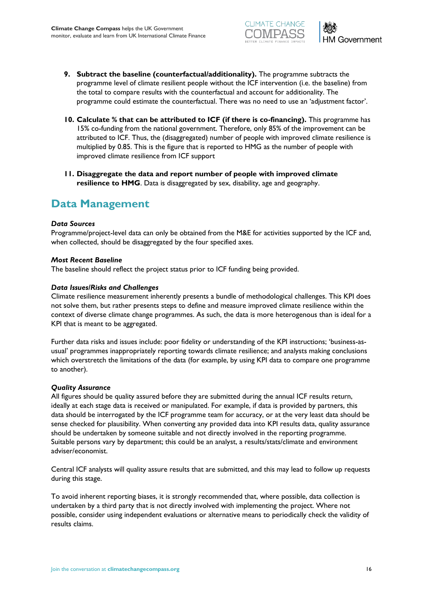



- <span id="page-15-1"></span>**9. Subtract the baseline (counterfactual/additionality).** The programme subtracts the programme level of climate resilient people without the ICF intervention (i.e. the baseline) from the total to compare results with the counterfactual and account for additionality. The programme could estimate the counterfactual. There was no need to use an 'adjustment factor'.
- <span id="page-15-2"></span>**10. Calculate % that can be attributed to ICF (if there is co-financing).** This programme has 15% co-funding from the national government. Therefore, only 85% of the improvement can be attributed to ICF. Thus, the (disaggregated) number of people with improved climate resilience is multiplied by 0.85. This is the figure that is reported to HMG as the number of people with improved climate resilience from ICF support
- <span id="page-15-3"></span>**11. Disaggregate the data and report number of people with improved climate resilience to HMG**. Data is disaggregated by sex, disability, age and geography.

### <span id="page-15-0"></span>**Data Management**

### *Data Sources*

Programme/project-level data can only be obtained from the M&E for activities supported by the ICF and, when collected, should be disaggregated by the four specified axes.

### *Most Recent Baseline*

The baseline should reflect the project status prior to ICF funding being provided.

### *Data Issues/Risks and Challenges*

Climate resilience measurement inherently presents a bundle of methodological challenges. This KPI does not solve them, but rather presents steps to define and measure improved climate resilience within the context of diverse climate change programmes. As such, the data is more heterogenous than is ideal for a KPI that is meant to be aggregated.

Further data risks and issues include: poor fidelity or understanding of the KPI instructions; 'business-asusual' programmes inappropriately reporting towards climate resilience; and analysts making conclusions which overstretch the limitations of the data (for example, by using KPI data to compare one programme to another).

### *Quality Assurance*

All figures should be quality assured before they are submitted during the annual ICF results return, ideally at each stage data is received or manipulated. For example, if data is provided by partners, this data should be interrogated by the ICF programme team for accuracy, or at the very least data should be sense checked for plausibility. When converting any provided data into KPI results data, quality assurance should be undertaken by someone suitable and not directly involved in the reporting programme. Suitable persons vary by department; this could be an analyst, a results/stats/climate and environment adviser/economist.

Central ICF analysts will quality assure results that are submitted, and this may lead to follow up requests during this stage.

To avoid inherent reporting biases, it is strongly recommended that, where possible, data collection is undertaken by a third party that is not directly involved with implementing the project. Where not possible, consider using independent evaluations or alternative means to periodically check the validity of results claims.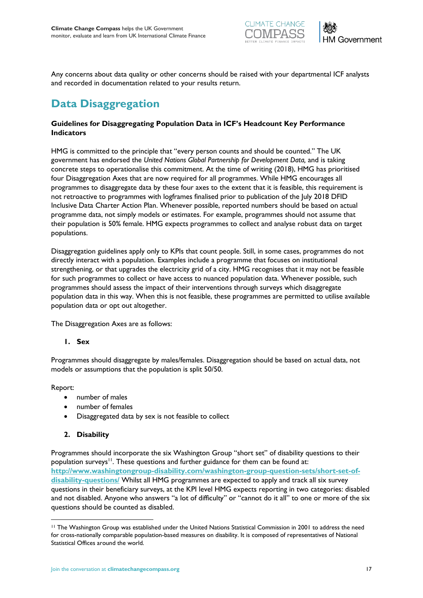



Any concerns about data quality or other concerns should be raised with your departmental ICF analysts and recorded in documentation related to your results return.

# <span id="page-16-0"></span>**Data Disaggregation**

### **Guidelines for Disaggregating Population Data in ICF's Headcount Key Performance Indicators**

HMG is committed to the principle that "every person counts and should be counted." The UK government has endorsed the *United Nations Global Partnership for Development Data,* and is taking concrete steps to operationalise this commitment. At the time of writing (2018), HMG has prioritised four Disaggregation Axes that are now required for all programmes. While HMG encourages all programmes to disaggregate data by these four axes to the extent that it is feasible, this requirement is not retroactive to programmes with logframes finalised prior to publication of the July 2018 DFID Inclusive Data Charter Action Plan. Whenever possible, reported numbers should be based on actual programme data, not simply models or estimates. For example, programmes should not assume that their population is 50% female. HMG expects programmes to collect and analyse robust data on target populations.

Disaggregation guidelines apply only to KPIs that count people. Still, in some cases, programmes do not directly interact with a population. Examples include a programme that focuses on institutional strengthening, or that upgrades the electricity grid of a city. HMG recognises that it may not be feasible for such programmes to collect or have access to nuanced population data. Whenever possible, such programmes should assess the impact of their interventions through surveys which disaggregate population data in this way. When this is not feasible, these programmes are permitted to utilise available population data or opt out altogether.

The Disaggregation Axes are as follows:

### **1. Sex**

Programmes should disaggregate by males/females. Disaggregation should be based on actual data, not models or assumptions that the population is split 50/50.

Report:

 $\overline{a}$ 

- number of males
- number of females
- Disaggregated data by sex is not feasible to collect

### **2. Disability**

Programmes should incorporate the six Washington Group "short set" of disability questions to their population surveys<sup>11</sup>. These questions and further guidance for them can be found at: **[http://www.washingtongroup-disability.com/washington-group-question-sets/short-set-of](http://www.washingtongroup-disability.com/washington-group-question-sets/short-set-of-disability-questions/)[disability-questions/](http://www.washingtongroup-disability.com/washington-group-question-sets/short-set-of-disability-questions/)** Whilst all HMG programmes are expected to apply and track all six survey questions in their beneficiary surveys, at the KPI level HMG expects reporting in two categories: disabled and not disabled. Anyone who answers "a lot of difficulty" or "cannot do it all" to one or more of the six questions should be counted as disabled.

<sup>11</sup> The Washington Group was established under the United Nations Statistical Commission in 2001 to address the need for cross-nationally comparable population-based measures on disability. It is composed of representatives of National Statistical Offices around the world.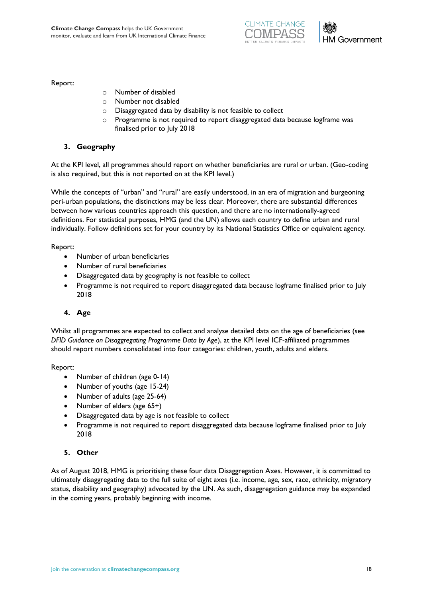



Report:

- o Number of disabled
- o Number not disabled
- o Disaggregated data by disability is not feasible to collect
- o Programme is not required to report disaggregated data because logframe was finalised prior to July 2018

### **3. Geography**

At the KPI level, all programmes should report on whether beneficiaries are rural or urban. (Geo-coding is also required, but this is not reported on at the KPI level.)

While the concepts of "urban" and "rural" are easily understood, in an era of migration and burgeoning peri-urban populations, the distinctions may be less clear. Moreover, there are substantial differences between how various countries approach this question, and there are no internationally-agreed definitions. For statistical purposes, HMG (and the UN) allows each country to define urban and rural individually. Follow definitions set for your country by its National Statistics Office or equivalent agency*.*

Report:

- Number of urban beneficiaries
- Number of rural beneficiaries
- Disaggregated data by geography is not feasible to collect
- Programme is not required to report disaggregated data because logframe finalised prior to July 2018

### **4. Age**

Whilst all programmes are expected to collect and analyse detailed data on the age of beneficiaries (see *DFID Guidance on Disaggregating Programme Data by Age*), at the KPI level ICF-affiliated programmes should report numbers consolidated into four categories: children, youth, adults and elders.

Report:

- Number of children (age 0-14)
- Number of youths (age 15-24)
- Number of adults (age 25-64)
- Number of elders (age 65+)
- Disaggregated data by age is not feasible to collect
- Programme is not required to report disaggregated data because logframe finalised prior to July 2018

### **5. Other**

As of August 2018, HMG is prioritising these four data Disaggregation Axes. However, it is committed to ultimately disaggregating data to the full suite of eight axes (i.e. income, age, sex, race, ethnicity, migratory status, disability and geography) advocated by the UN. As such, disaggregation guidance may be expanded in the coming years, probably beginning with income.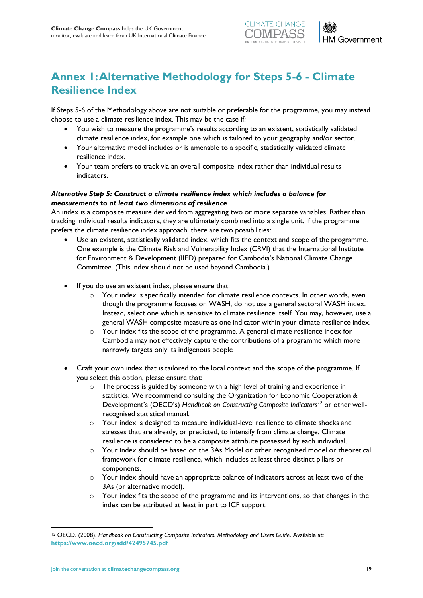



# <span id="page-18-0"></span>**Annex 1: Alternative Methodology for Steps 5-6 - Climate Resilience Index**

If Steps 5-6 of the Methodology above are not suitable or preferable for the programme, you may instead choose to use a climate resilience index. This may be the case if:

- You wish to measure the programme's results according to an existent, statistically validated climate resilience index, for example one which is tailored to your geography and/or sector.
- Your alternative model includes or is amenable to a specific, statistically validated climate resilience index.
- Your team prefers to track via an overall composite index rather than individual results indicators.

### *Alternative Step 5: Construct a climate resilience index which includes a balance for measurements to at least two dimensions of resilience*

An index is a composite measure derived from aggregating two or more separate variables. Rather than tracking individual results indicators, they are ultimately combined into a single unit. If the programme prefers the climate resilience index approach, there are two possibilities:

- Use an existent, statistically validated index, which fits the context and scope of the programme. One example is the Climate Risk and Vulnerability Index (CRVI) that the International Institute for Environment & Development (IIED) prepared for Cambodia's National Climate Change Committee. (This index should not be used beyond Cambodia.)
- If you do use an existent index, please ensure that:
	- o Your index is specifically intended for climate resilience contexts. In other words, even though the programme focuses on WASH, do not use a general sectoral WASH index. Instead, select one which is sensitive to climate resilience itself. You may, however, use a general WASH composite measure as one indicator within your climate resilience index.
	- o Your index fits the scope of the programme. A general climate resilience index for Cambodia may not effectively capture the contributions of a programme which more narrowly targets only its indigenous people
- Craft your own index that is tailored to the local context and the scope of the programme. If you select this option, please ensure that:
	- o The process is guided by someone with a high level of training and experience in statistics. We recommend consulting the Organization for Economic Cooperation & Development's (OECD's) *Handbook on Constructing Composite Indicators<sup>12</sup>* or other wellrecognised statistical manual.
	- o Your index is designed to measure individual-level resilience to climate shocks and stresses that are already, or predicted, to intensify from climate change. Climate resilience is considered to be a composite attribute possessed by each individual.
	- $\circ$  Your index should be based on the 3As Model or other recognised model or theoretical framework for climate resilience, which includes at least three distinct pillars or components.
	- o Your index should have an appropriate balance of indicators across at least two of the 3As (or alternative model).
	- o Your index fits the scope of the programme and its interventions, so that changes in the index can be attributed at least in part to ICF support.

<sup>12</sup> OECD. (2008). *Handbook on Constructing Composite Indicators: Methodology and Users Guide*. Available at: **<https://www.oecd.org/sdd/42495745.pdf>**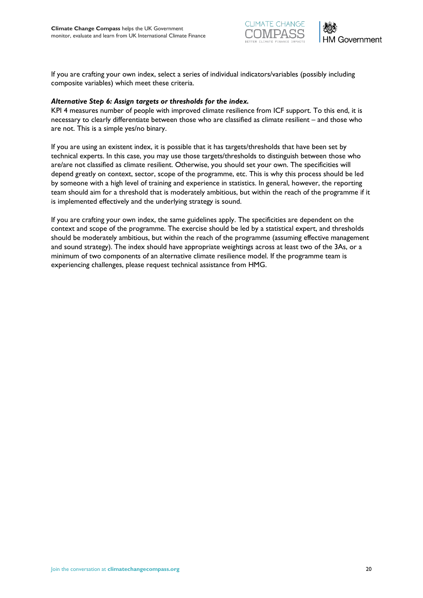



If you are crafting your own index, select a series of individual indicators/variables (possibly including composite variables) which meet these criteria.

#### *Alternative Step 6: Assign targets or thresholds for the index.*

KPI 4 measures number of people with improved climate resilience from ICF support. To this end, it is necessary to clearly differentiate between those who are classified as climate resilient – and those who are not. This is a simple yes/no binary.

If you are using an existent index, it is possible that it has targets/thresholds that have been set by technical experts. In this case, you may use those targets/thresholds to distinguish between those who are/are not classified as climate resilient. Otherwise, you should set your own. The specificities will depend greatly on context, sector, scope of the programme, etc. This is why this process should be led by someone with a high level of training and experience in statistics. In general, however, the reporting team should aim for a threshold that is moderately ambitious, but within the reach of the programme if it is implemented effectively and the underlying strategy is sound.

If you are crafting your own index, the same guidelines apply. The specificities are dependent on the context and scope of the programme. The exercise should be led by a statistical expert, and thresholds should be moderately ambitious, but within the reach of the programme (assuming effective management and sound strategy). The index should have appropriate weightings across at least two of the 3As, or a minimum of two components of an alternative climate resilience model. If the programme team is experiencing challenges, please request technical assistance from HMG.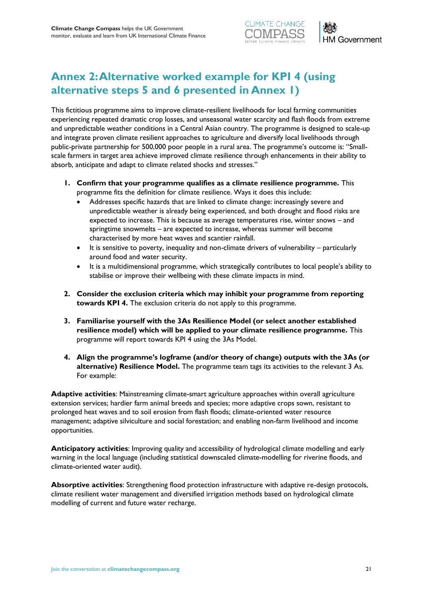



# <span id="page-20-0"></span>**Annex 2: Alternative worked example for KPI 4 (using alternative steps 5 and 6 presented in Annex 1)**

This fictitious programme aims to improve climate-resilient livelihoods for local farming communities experiencing repeated dramatic crop losses, and unseasonal water scarcity and flash floods from extreme and unpredictable weather conditions in a Central Asian country. The programme is designed to scale-up and integrate proven climate resilient approaches to agriculture and diversify local livelihoods through public-private partnership for 500,000 poor people in a rural area. The programme's outcome is: "Smallscale farmers in target area achieve improved climate resilience through enhancements in their ability to absorb, anticipate and adapt to climate related shocks and stresses."

- **1. Confirm that your programme qualifies as a climate resilience programme.** This programme fits the definition for climate resilience. Ways it does this include:
	- Addresses specific hazards that are linked to climate change: increasingly severe and unpredictable weather is already being experienced, and both drought and flood risks are expected to increase. This is because as average temperatures rise, winter snows – and springtime snowmelts – are expected to increase, whereas summer will become characterised by more heat waves and scantier rainfall.
	- It is sensitive to poverty, inequality and non-climate drivers of vulnerability particularly around food and water security.
	- It is a multidimensional programme, which strategically contributes to local people's ability to stabilise or improve their wellbeing with these climate impacts in mind.
- **2. Consider the exclusion criteria which may inhibit your programme from reporting towards KPI 4.** The exclusion criteria do not apply to this programme.
- **3. Familiarise yourself with the 3As Resilience Model (or select another established resilience model) which will be applied to your climate resilience programme.** This programme will report towards KPI 4 using the 3As Model.
- **4. Align the programme's logframe (and/or theory of change) outputs with the 3As (or alternative) Resilience Model.** The programme team tags its activities to the relevant 3 As. For example:

**Adaptive activities**: Mainstreaming climate-smart agriculture approaches within overall agriculture extension services; hardier farm animal breeds and species; more adaptive crops sown, resistant to prolonged heat waves and to soil erosion from flash floods; climate-oriented water resource management; adaptive silviculture and social forestation; and enabling non-farm livelihood and income opportunities.

**Anticipatory activities**: Improving quality and accessibility of hydrological climate modelling and early warning in the local language (including statistical downscaled climate-modelling for riverine floods, and climate-oriented water audit).

**Absorptive activities**: Strengthening flood protection infrastructure with adaptive re-design protocols, climate resilient water management and diversified irrigation methods based on hydrological climate modelling of current and future water recharge.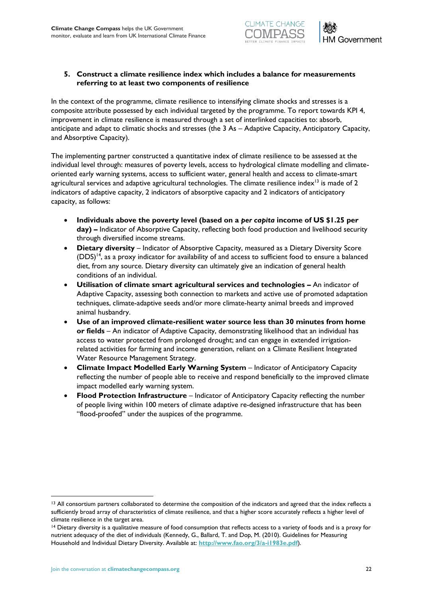



### **5. Construct a climate resilience index which includes a balance for measurements referring to at least two components of resilience**

In the context of the programme, climate resilience to intensifying climate shocks and stresses is a composite attribute possessed by each individual targeted by the programme. To report towards KPI 4, improvement in climate resilience is measured through a set of interlinked capacities to: absorb, anticipate and adapt to climatic shocks and stresses (the 3 As – Adaptive Capacity, Anticipatory Capacity, and Absorptive Capacity).

The implementing partner constructed a quantitative index of climate resilience to be assessed at the individual level through: measures of poverty levels, access to hydrological climate modelling and climateoriented early warning systems, access to sufficient water, general health and access to climate-smart agricultural services and adaptive agricultural technologies. The climate resilience index<sup>13</sup> is made of 2 indicators of adaptive capacity, 2 indicators of absorptive capacity and 2 indicators of anticipatory capacity, as follows:

- **Individuals above the poverty level (based on a** *per capita* **income of US \$1.25 per day) –** Indicator of Absorptive Capacity, reflecting both food production and livelihood security through diversified income streams.
- **Dietary diversity** Indicator of Absorptive Capacity, measured as a Dietary Diversity Score  $(DDS)^{14}$ , as a proxy indicator for availability of and access to sufficient food to ensure a balanced diet, from any source. Dietary diversity can ultimately give an indication of general health conditions of an individual.
- **Utilisation of climate smart agricultural services and technologies –** An indicator of Adaptive Capacity, assessing both connection to markets and active use of promoted adaptation techniques, climate-adaptive seeds and/or more climate-hearty animal breeds and improved animal husbandry.
- **Use of an improved climate-resilient water source less than 30 minutes from home or fields** – An indicator of Adaptive Capacity, demonstrating likelihood that an individual has access to water protected from prolonged drought; and can engage in extended irrigationrelated activities for farming and income generation, reliant on a Climate Resilient Integrated Water Resource Management Strategy.
- **Climate Impact Modelled Early Warning System** Indicator of Anticipatory Capacity reflecting the number of people able to receive and respond beneficially to the improved climate impact modelled early warning system.
- **Flood Protection Infrastructure**  Indicator of Anticipatory Capacity reflecting the number of people living within 100 meters of climate adaptive re-designed infrastructure that has been "flood-proofed" under the auspices of the programme.

<sup>&</sup>lt;sup>13</sup> All consortium partners collaborated to determine the composition of the indicators and agreed that the index reflects a sufficiently broad array of characteristics of climate resilience, and that a higher score accurately reflects a higher level of climate resilience in the target area.

<sup>&</sup>lt;sup>14</sup> Dietary diversity is a qualitative measure of food consumption that reflects access to a variety of foods and is a proxy for nutrient adequacy of the diet of individuals (Kennedy, G., Ballard, T. and Dop, M. (2010). Guidelines for Measuring Household and Individual Dietary Diversity. Available at: **<http://www.fao.org/3/a-i1983e.pdf>**).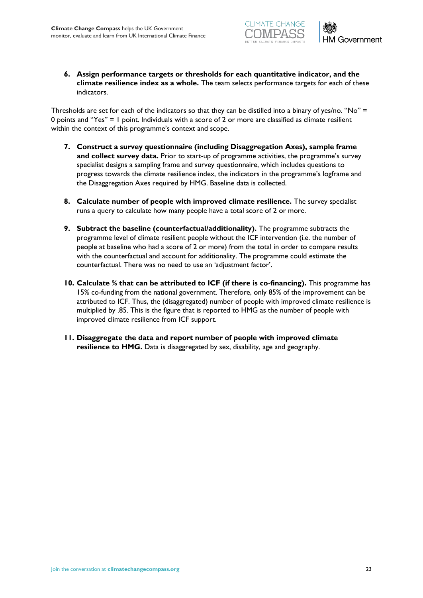



**6. Assign performance targets or thresholds for each quantitative indicator, and the climate resilience index as a whole.** The team selects performance targets for each of these indicators.

Thresholds are set for each of the indicators so that they can be distilled into a binary of yes/no. "No" = 0 points and "Yes" = 1 point. Individuals with a score of 2 or more are classified as climate resilient within the context of this programme's context and scope.

- **7. Construct a survey questionnaire (including Disaggregation Axes), sample frame and collect survey data.** Prior to start-up of programme activities, the programme's survey specialist designs a sampling frame and survey questionnaire, which includes questions to progress towards the climate resilience index, the indicators in the programme's logframe and the Disaggregation Axes required by HMG. Baseline data is collected.
- **8. Calculate number of people with improved climate resilience.** The survey specialist runs a query to calculate how many people have a total score of 2 or more.
- **9. Subtract the baseline (counterfactual/additionality).** The programme subtracts the programme level of climate resilient people without the ICF intervention (i.e. the number of people at baseline who had a score of 2 or more) from the total in order to compare results with the counterfactual and account for additionality. The programme could estimate the counterfactual. There was no need to use an 'adjustment factor'.
- **10. Calculate % that can be attributed to ICF (if there is co-financing).** This programme has 15% co-funding from the national government. Therefore, only 85% of the improvement can be attributed to ICF. Thus, the (disaggregated) number of people with improved climate resilience is multiplied by .85. This is the figure that is reported to HMG as the number of people with improved climate resilience from ICF support.
- **11. Disaggregate the data and report number of people with improved climate resilience to HMG.** Data is disaggregated by sex, disability, age and geography.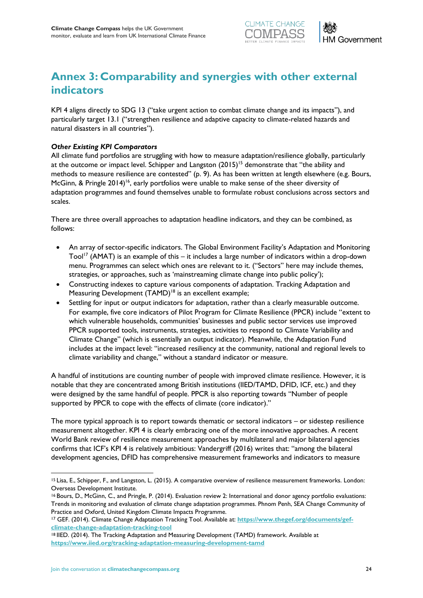



# <span id="page-23-0"></span>**Annex 3: Comparability and synergies with other external indicators**

KPI 4 aligns directly to SDG 13 ("take urgent action to combat climate change and its impacts"), and particularly target 13.1 ("strengthen resilience and adaptive capacity to climate-related hazards and natural disasters in all countries").

### *Other Existing KPI Comparators*

All climate fund portfolios are struggling with how to measure adaptation/resilience globally, particularly at the outcome or impact level. Schipper and Langston  $(2015)^{15}$  demonstrate that "the ability and methods to measure resilience are contested" (p. 9). As has been written at length elsewhere (e.g. Bours, McGinn, & Pringle 2014)<sup>16</sup>, early portfolios were unable to make sense of the sheer diversity of adaptation programmes and found themselves unable to formulate robust conclusions across sectors and scales.

There are three overall approaches to adaptation headline indicators, and they can be combined, as follows:

- An array of sector-specific indicators. The Global Environment Facility's Adaptation and Monitoring Tool<sup>17</sup> (AMAT) is an example of this – it includes a large number of indicators within a drop-down menu. Programmes can select which ones are relevant to it. ("Sectors" here may include themes, strategies, or approaches, such as 'mainstreaming climate change into public policy');
- Constructing indexes to capture various components of adaptation. Tracking Adaptation and Measuring Development (TAMD)<sup>18</sup> is an excellent example;
- Settling for input or output indicators for adaptation, rather than a clearly measurable outcome. For example, five core indicators of Pilot Program for Climate Resilience (PPCR) include "extent to which vulnerable households, communities' businesses and public sector services use improved PPCR supported tools, instruments, strategies, activities to respond to Climate Variability and Climate Change" (which is essentially an output indicator). Meanwhile, the Adaptation Fund includes at the impact level: "increased resiliency at the community, national and regional levels to climate variability and change," without a standard indicator or measure.

A handful of institutions are counting number of people with improved climate resilience. However, it is notable that they are concentrated among British institutions (IIED/TAMD, DFID, ICF, etc.) and they were designed by the same handful of people. PPCR is also reporting towards "Number of people supported by PPCR to cope with the effects of climate (core indicator)."

The more typical approach is to report towards thematic or sectoral indicators – or sidestep resilience measurement altogether. KPI 4 is clearly embracing one of the more innovative approaches. A recent World Bank review of resilience measurement approaches by multilateral and major bilateral agencies confirms that ICF's KPI 4 is relatively ambitious: Vandergriff (2016) writes that: "among the bilateral development agencies, DFID has comprehensive measurement frameworks and indicators to measure

l

<sup>15</sup> Lisa, E., Schipper, F., and Langston, L. (2015). A comparative overview of resilience measurement frameworks. London: Overseas Development Institute.

<sup>16</sup> Bours, D., McGinn, C., and Pringle, P. (2014). Evaluation review 2: International and donor agency portfolio evaluations: Trends in monitoring and evaluation of climate change adaptation programmes. Phnom Penh, SEA Change Community of Practice and Oxford, United Kingdom Climate Impacts Programme.

<sup>&</sup>lt;sup>17</sup> GEF. (2014). Climate Change Adaptation Tracking Tool. Available at: [https://www.thegef.org/documents/gef](https://www.thegef.org/documents/gef-climate-change-adaptation-tracking-tool)**[climate-change-adaptation-tracking-tool](https://www.thegef.org/documents/gef-climate-change-adaptation-tracking-tool)**

<sup>18</sup> IIED. (2014). The Tracking Adaptation and Measuring Development (TAMD) framework. Available at **<https://www.iied.org/tracking-adaptation-measuring-development-tamd>**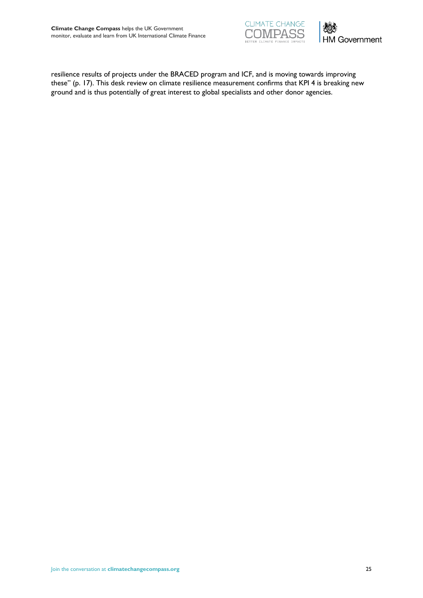



resilience results of projects under the BRACED program and ICF, and is moving towards improving these" (p. 17). This desk review on climate resilience measurement confirms that KPI 4 is breaking new ground and is thus potentially of great interest to global specialists and other donor agencies.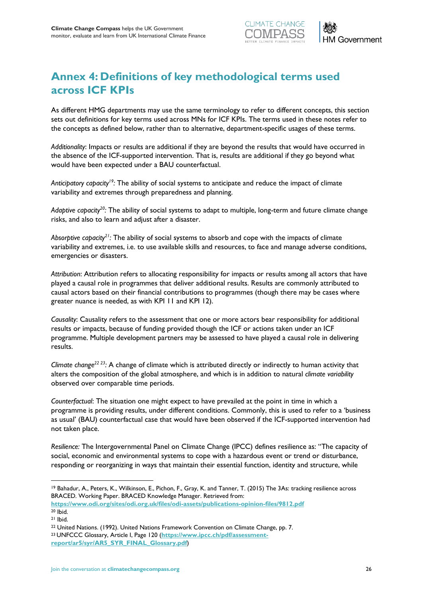



# <span id="page-25-0"></span>**Annex 4: Definitions of key methodological terms used across ICF KPIs**

As different HMG departments may use the same terminology to refer to different concepts, this section sets out definitions for key terms used across MNs for ICF KPIs. The terms used in these notes refer to the concepts as defined below, rather than to alternative, department-specific usages of these terms.

*Additionality*: Impacts or results are additional if they are beyond the results that would have occurred in the absence of the ICF-supported intervention. That is, results are additional if they go beyond what would have been expected under a BAU counterfactual.

*Anticipatory capacity<sup>19</sup>:* The ability of social systems to anticipate and reduce the impact of climate variability and extremes through preparedness and planning.

*Adaptive capacity<sup>20</sup>:* The ability of social systems to adapt to multiple, long-term and future climate change risks, and also to learn and adjust after a disaster.

*Absorptive capacity<sup>21</sup>:* The ability of social systems to absorb and cope with the impacts of climate variability and extremes, i.e. to use available skills and resources, to face and manage adverse conditions, emergencies or disasters.

*Attribution*: Attribution refers to allocating responsibility for impacts or results among all actors that have played a causal role in programmes that deliver additional results. Results are commonly attributed to causal actors based on their financial contributions to programmes (though there may be cases where greater nuance is needed, as with KPI 11 and KPI 12).

*Causality*: Causality refers to the assessment that one or more actors bear responsibility for additional results or impacts, because of funding provided though the ICF or actions taken under an ICF programme. Multiple development partners may be assessed to have played a causal role in delivering results.

*Climate change<sup>22</sup> <sup>23</sup>:* A change of climate which is attributed directly or indirectly to human activity that alters the composition of the global atmosphere, and which is in addition to natural *climate variability* observed over comparable time periods.

*Counterfactual*: The situation one might expect to have prevailed at the point in time in which a programme is providing results, under different conditions. Commonly, this is used to refer to a 'business as usual' (BAU) counterfactual case that would have been observed if the ICF-supported intervention had not taken place.

*Resilience:* The Intergovernmental Panel on Climate Change (IPCC) defines resilience as: "The capacity of social, economic and environmental systems to cope with a hazardous event or trend or disturbance, responding or reorganizing in ways that maintain their essential function, identity and structure, while

<sup>19</sup> Bahadur, A., Peters, K., Wilkinson, E., Pichon, F., Gray, K. and Tanner, T. (2015) The 3As: tracking resilience across BRACED. Working Paper. BRACED Knowledge Manager. Retrieved from:

**<https://www.odi.org/sites/odi.org.uk/files/odi-assets/publications-opinion-files/9812.pdf>** <sup>20</sup> Ibid.

<sup>21</sup> Ibid.

<sup>&</sup>lt;sup>22</sup> United Nations. (1992). United Nations Framework Convention on Climate Change, pp. 7. <sup>23</sup> UNFCCC Glossary, Article I, Page 120 (**[https://www.ipcc.ch/pdf/assessment-](https://www.ipcc.ch/pdf/assessment-report/ar5/syr/AR5_SYR_FINAL_Glossary.pdf)**

**[report/ar5/syr/AR5\\_SYR\\_FINAL\\_Glossary.pdf](https://www.ipcc.ch/pdf/assessment-report/ar5/syr/AR5_SYR_FINAL_Glossary.pdf)**)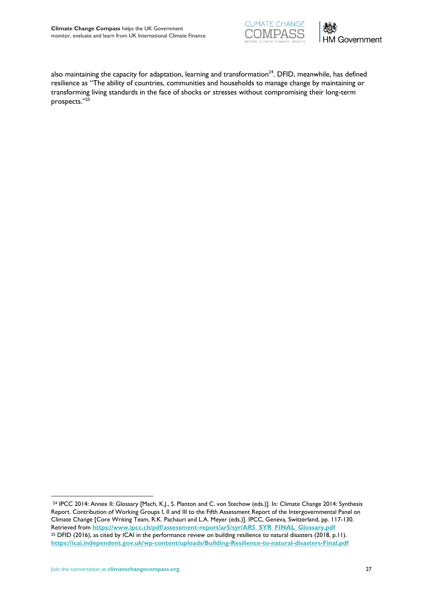



also maintaining the capacity for adaptation, learning and transformation<sup>24</sup>. DFID, meanwhile, has defined resilience as "The ability of countries, communities and households to manage change by maintaining or transforming living standards in the face of shocks or stresses without compromising their long-term prospects."<sup>25</sup>

<sup>24</sup> IPCC 2014: Annex II: Glossary [Mach, K.J., S. Planton and C. von Stechow (eds.)]. In: Climate Change 2014: Synthesis Report. Contribution of Working Groups I, II and III to the Fifth Assessment Report of the Intergovernmental Panel on Climate Change [Core Writing Team, R.K. Pachauri and L.A. Meyer (eds.)]. IPCC, Geneva, Switzerland, pp. 117-130. Retrieved from **[https://www.ipcc.ch/pdf/assessment-report/ar5/syr/AR5\\_SYR\\_FINAL\\_Glossary.pdf](https://www.ipcc.ch/pdf/assessment-report/ar5/syr/AR5_SYR_FINAL_Glossary.pdf)** <sup>25</sup> DFID (2016), as cited by ICAI in the performance review on building resilience to natural disasters (2018, p.11). **<https://icai.independent.gov.uk/wp-content/uploads/Building-Resilience-to-natural-disasters-Final.pdf>**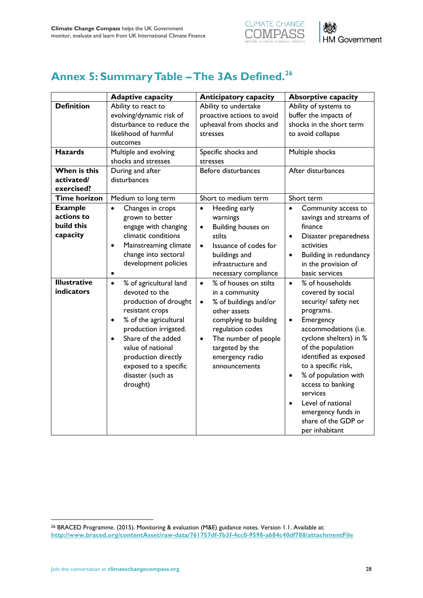



# <span id="page-27-0"></span>**Annex 5: Summary Table –The 3As Defined.<sup>26</sup>**

|                                                                                 | <b>Adaptive capacity</b>                                                                                                                                                                                                                                                                     | <b>Anticipatory capacity</b>                                                                                                                                                                                                                        | <b>Absorptive capacity</b>                                                                                                                                                                                                                                                                                                                                                                                     |
|---------------------------------------------------------------------------------|----------------------------------------------------------------------------------------------------------------------------------------------------------------------------------------------------------------------------------------------------------------------------------------------|-----------------------------------------------------------------------------------------------------------------------------------------------------------------------------------------------------------------------------------------------------|----------------------------------------------------------------------------------------------------------------------------------------------------------------------------------------------------------------------------------------------------------------------------------------------------------------------------------------------------------------------------------------------------------------|
| <b>Definition</b><br><b>Hazards</b><br>When is this<br>activated/<br>exercised? | Ability to react to<br>evolving/dynamic risk of<br>disturbance to reduce the<br>likelihood of harmful<br>outcomes<br>Multiple and evolving<br>shocks and stresses<br>During and after<br>disturbances                                                                                        | Ability to undertake<br>proactive actions to avoid<br>upheaval from shocks and<br>stresses<br>Specific shocks and<br>stresses<br>Before disturbances                                                                                                | Ability of systems to<br>buffer the impacts of<br>shocks in the short term<br>to avoid collapse<br>Multiple shocks<br>After disturbances                                                                                                                                                                                                                                                                       |
| <b>Time horizon</b>                                                             | Medium to long term                                                                                                                                                                                                                                                                          | Short to medium term                                                                                                                                                                                                                                | Short term                                                                                                                                                                                                                                                                                                                                                                                                     |
| <b>Example</b><br>actions to<br>build this<br>capacity                          | Changes in crops<br>$\bullet$<br>grown to better<br>engage with changing<br>climatic conditions<br>Mainstreaming climate<br>$\bullet$<br>change into sectoral<br>development policies<br>$\bullet$                                                                                           | Heeding early<br>$\bullet$<br>warnings<br>Building houses on<br>$\bullet$<br>stilts<br>Issuance of codes for<br>$\bullet$<br>buildings and<br>infrastructure and<br>necessary compliance                                                            | Community access to<br>$\bullet$<br>savings and streams of<br>finance<br>Disaster preparedness<br>$\bullet$<br>activities<br>Building in redundancy<br>$\bullet$<br>in the provision of<br>basic services                                                                                                                                                                                                      |
| <b>Illustrative</b><br>indicators                                               | % of agricultural land<br>$\bullet$<br>devoted to the<br>production of drought<br>resistant crops<br>% of the agricultural<br>$\bullet$<br>production irrigated.<br>Share of the added<br>value of national<br>production directly<br>exposed to a specific<br>disaster (such as<br>drought) | % of houses on stilts<br>$\bullet$<br>in a community<br>% of buildings and/or<br>$\bullet$<br>other assets<br>complying to building<br>regulation codes<br>The number of people<br>$\bullet$<br>targeted by the<br>emergency radio<br>announcements | % of households<br>$\bullet$<br>covered by social<br>security/ safety net<br>programs.<br>Emergency<br>$\bullet$<br>accommodations (i.e.<br>cyclone shelters) in %<br>of the population<br>identified as exposed<br>to a specific risk,<br>% of population with<br>$\bullet$<br>access to banking<br>services<br>Level of national<br>$\bullet$<br>emergency funds in<br>share of the GDP or<br>per inhabitant |

<sup>26</sup> BRACED Programme. (2015). Monitoring & evaluation (M&E) guidance notes. Version 1.1. Available at: **<http://www.braced.org/contentAsset/raw-data/761757df-7b3f-4cc0-9598-a684c40df788/attachmentFile>**